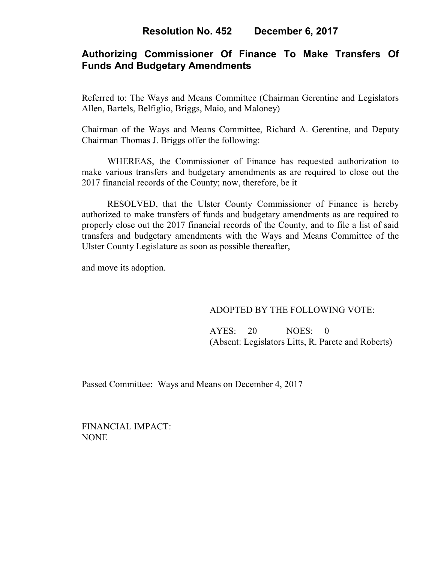# **Authorizing Commissioner Of Finance To Make Transfers Of Funds And Budgetary Amendments**

Referred to: The Ways and Means Committee (Chairman Gerentine and Legislators Allen, Bartels, Belfiglio, Briggs, Maio, and Maloney)

Chairman of the Ways and Means Committee, Richard A. Gerentine, and Deputy Chairman Thomas J. Briggs offer the following:

 WHEREAS, the Commissioner of Finance has requested authorization to make various transfers and budgetary amendments as are required to close out the 2017 financial records of the County; now, therefore, be it

 RESOLVED, that the Ulster County Commissioner of Finance is hereby authorized to make transfers of funds and budgetary amendments as are required to properly close out the 2017 financial records of the County, and to file a list of said transfers and budgetary amendments with the Ways and Means Committee of the Ulster County Legislature as soon as possible thereafter,

and move its adoption.

### ADOPTED BY THE FOLLOWING VOTE:

 AYES: 20 NOES: 0 (Absent: Legislators Litts, R. Parete and Roberts)

Passed Committee: Ways and Means on December 4, 2017

FINANCIAL IMPACT: NONE